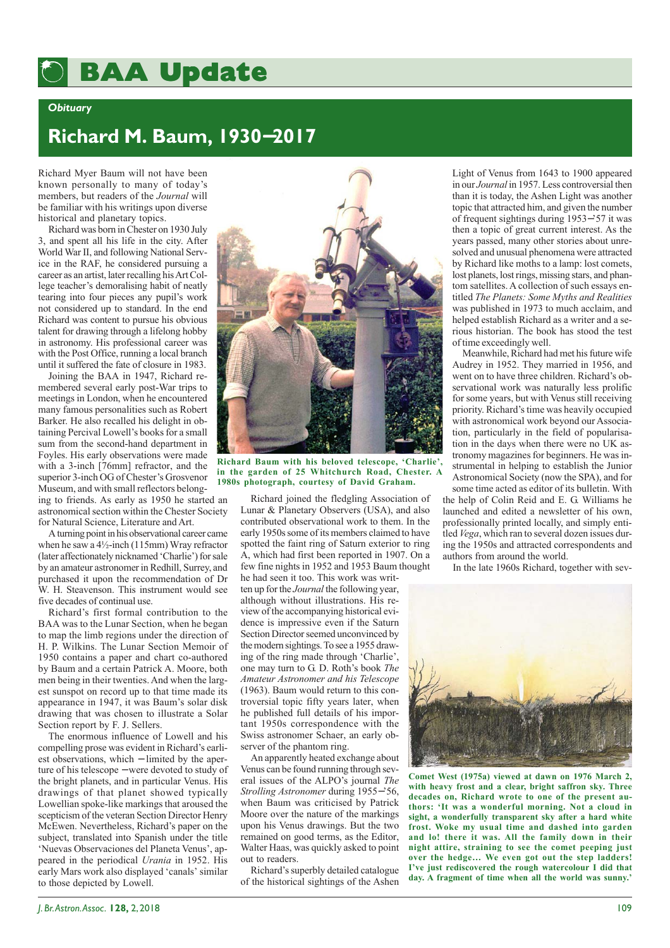## **BAA Update BAA Update**

## *Obituary*

## **Richard M. Baum, 1930**−**2017**

Richard Myer Baum will not have been known personally to many of today's members, but readers of the *Journal* will be familiar with his writings upon diverse historical and planetary topics.

Richard was born in Chester on 1930 July 3, and spent all his life in the city. After World War II, and following National Service in the RAF, he considered pursuing a career as an artist, later recalling his Art College teacher's demoralising habit of neatly tearing into four pieces any pupil's work not considered up to standard. In the end Richard was content to pursue his obvious talent for drawing through a lifelong hobby in astronomy. His professional career was with the Post Office, running a local branch until it suffered the fate of closure in 1983.

Joining the BAA in 1947, Richard remembered several early post-War trips to meetings in London, when he encountered many famous personalities such as Robert Barker. He also recalled his delight in obtaining Percival Lowell's books for a small sum from the second-hand department in Foyles. His early observations were made with a 3-inch [76mm] refractor, and the superior 3-inch OG of Chester's Grosvenor Museum, and with small reflectors belonging to friends. As early as 1950 he started an astronomical section within the Chester Society for Natural Science, Literature and Art.

A turning point in his observational career came when he saw a 4½-inch (115mm) Wray refractor (later affectionately nicknamed 'Charlie') for sale by an amateur astronomer in Redhill, Surrey, and purchased it upon the recommendation of Dr W. H. Steavenson. This instrument would see five decades of continual use.

Richard's first formal contribution to the BAA was to the Lunar Section, when he began to map the limb regions under the direction of H. P. Wilkins. The Lunar Section Memoir of 1950 contains a paper and chart co-authored by Baum and a certain Patrick A. Moore, both men being in their twenties. And when the largest sunspot on record up to that time made its appearance in 1947, it was Baum's solar disk drawing that was chosen to illustrate a Solar Section report by F. J. Sellers.

The enormous influence of Lowell and his compelling prose was evident in Richard's earliest observations, which − limited by the aperture of his telescope − were devoted to study of the bright planets, and in particular Venus. His drawings of that planet showed typically Lowellian spoke-like markings that aroused the scepticism of the veteran Section Director Henry McEwen. Nevertheless, Richard's paper on the subject, translated into Spanish under the title 'Nuevas Observaciones del Planeta Venus', appeared in the periodical *Urania* in 1952. His early Mars work also displayed 'canals' similar to those depicted by Lowell.



**Richard Baum with his beloved telescope, 'Charlie', in the garden of 25 Whitchurch Road, Chester. A 1980s photograph, courtesy of David Graham.**

Richard joined the fledgling Association of Lunar & Planetary Observers (USA), and also contributed observational work to them. In the early 1950s some of its members claimed to have spotted the faint ring of Saturn exterior to ring A, which had first been reported in 1907. On a few fine nights in 1952 and 1953 Baum thought he had seen it too. This work was writ-

ten up for the *Journal* the following year, although without illustrations. His review of the accompanying historical evidence is impressive even if the Saturn Section Director seemed unconvinced by the modern sightings. To see a 1955 drawing of the ring made through 'Charlie', one may turn to G. D. Roth's book *The Amateur Astronomer and his Telescope* (1963). Baum would return to this controversial topic fifty years later, when he published full details of his important 1950s correspondence with the Swiss astronomer Schaer, an early observer of the phantom ring.

An apparently heated exchange about Venus can be found running through several issues of the ALPO's journal *The Strolling Astronomer* during 1955−'56, when Baum was criticised by Patrick Moore over the nature of the markings upon his Venus drawings. But the two remained on good terms, as the Editor, Walter Haas, was quickly asked to point out to readers.

Richard's superbly detailed catalogue of the historical sightings of the Ashen

Light of Venus from 1643 to 1900 appeared in our *Journal* in 1957. Less controversial then than it is today, the Ashen Light was another topic that attracted him, and given the number of frequent sightings during 1953−'57 it was then a topic of great current interest. As the years passed, many other stories about unresolved and unusual phenomena were attracted by Richard like moths to a lamp: lost comets, lost planets, lost rings, missing stars, and phantom satellites. A collection of such essays entitled *The Planets: Some Myths and Realities* was published in 1973 to much acclaim, and helped establish Richard as a writer and a serious historian. The book has stood the test of time exceedingly well.

Meanwhile, Richard had met his future wife Audrey in 1952. They married in 1956, and went on to have three children. Richard's observational work was naturally less prolific for some years, but with Venus still receiving priority. Richard's time was heavily occupied with astronomical work beyond our Association, particularly in the field of popularisation in the days when there were no UK astronomy magazines for beginners. He was instrumental in helping to establish the Junior Astronomical Society (now the SPA), and for

some time acted as editor of its bulletin. With the help of Colin Reid and E. G. Williams he launched and edited a newsletter of his own, professionally printed locally, and simply entitled *Vega*, which ran to several dozen issues during the 1950s and attracted correspondents and authors from around the world.

In the late 1960s Richard, together with sev-



**Comet West (1975a) viewed at dawn on 1976 March 2, with heavy frost and a clear, bright saffron sky. Three decades on, Richard wrote to one of the present authors: 'It was a wonderful morning. Not a cloud in sight, a wonderfully transparent sky after a hard white frost. Woke my usual time and dashed into garden and lo! there it was. All the family down in their night attire, straining to see the comet peeping just over the hedge… We even got out the step ladders! I've just rediscovered the rough watercolour I did that day. A fragment of time when all the world was sunny.'**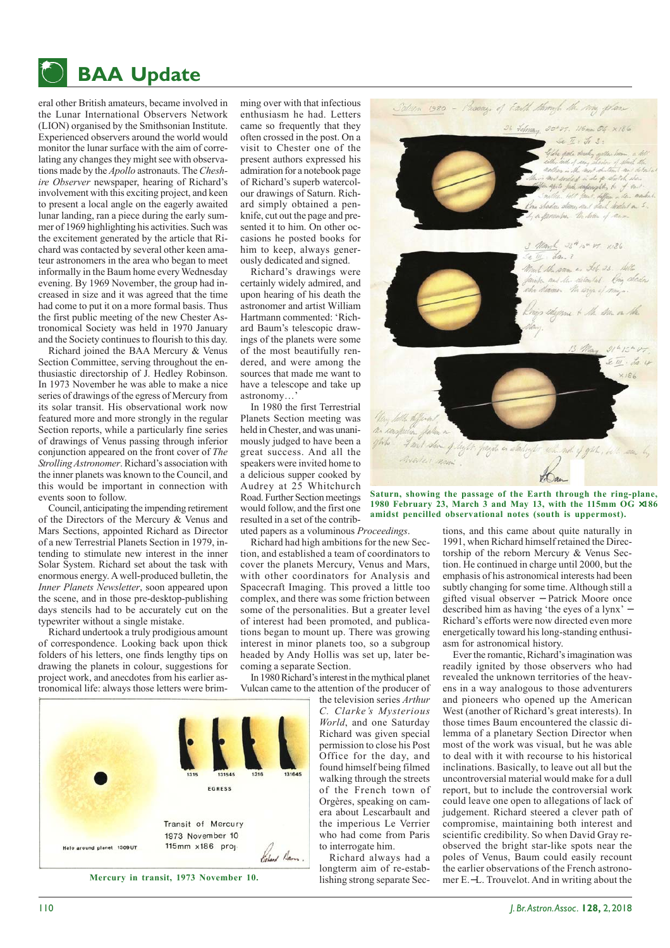

eral other British amateurs, became involved in the Lunar International Observers Network (LION) organised by the Smithsonian Institute. Experienced observers around the world would monitor the lunar surface with the aim of correlating any changes they might see with observations made by the *Apollo* astronauts. The *Cheshire Observer* newspaper, hearing of Richard's involvement with this exciting project, and keen to present a local angle on the eagerly awaited lunar landing, ran a piece during the early summer of 1969 highlighting his activities. Such was the excitement generated by the article that Richard was contacted by several other keen amateur astronomers in the area who began to meet informally in the Baum home every Wednesday evening. By 1969 November, the group had increased in size and it was agreed that the time had come to put it on a more formal basis. Thus the first public meeting of the new Chester Astronomical Society was held in 1970 January and the Society continues to flourish to this day.

Richard joined the BAA Mercury & Venus Section Committee, serving throughout the enthusiastic directorship of J. Hedley Robinson. In 1973 November he was able to make a nice series of drawings of the egress of Mercury from its solar transit. His observational work now featured more and more strongly in the regular Section reports, while a particularly fine series of drawings of Venus passing through inferior conjunction appeared on the front cover of *The Strolling Astronomer*. Richard's association with the inner planets was known to the Council, and this would be important in connection with events soon to follow.

Council, anticipating the impending retirement of the Directors of the Mercury & Venus and Mars Sections, appointed Richard as Director of a new Terrestrial Planets Section in 1979, intending to stimulate new interest in the inner Solar System. Richard set about the task with enormous energy. A well-produced bulletin, the *Inner Planets Newsletter*, soon appeared upon the scene, and in those pre-desktop-publishing days stencils had to be accurately cut on the typewriter without a single mistake.

Richard undertook a truly prodigious amount of correspondence. Looking back upon thick folders of his letters, one finds lengthy tips on drawing the planets in colour, suggestions for project work, and anecdotes from his earlier astronomical life: always those letters were brim-



ming over with that infectious enthusiasm he had. Letters came so frequently that they often crossed in the post. On a visit to Chester one of the present authors expressed his admiration for a notebook page of Richard's superb watercolour drawings of Saturn. Richard simply obtained a penknife, cut out the page and presented it to him. On other occasions he posted books for him to keep, always generously dedicated and signed.

Richard's drawings were certainly widely admired, and upon hearing of his death the astronomer and artist William Hartmann commented: 'Richard Baum's telescopic drawings of the planets were some of the most beautifully rendered, and were among the sources that made me want to have a telescope and take up astronomy…'

In 1980 the first Terrestrial Planets Section meeting was held in Chester, and was unanimously judged to have been a great success. And all the speakers were invited home to a delicious supper cooked by Audrey at 25 Whitchurch Road. Further Section meetings would follow, and the first one resulted in a set of the contributed papers as a voluminous *Proceedings*.

Richard had high ambitions for the new Section, and established a team of coordinators to cover the planets Mercury, Venus and Mars, with other coordinators for Analysis and Spacecraft Imaging. This proved a little too complex, and there was some friction between some of the personalities. But a greater level of interest had been promoted, and publications began to mount up. There was growing interest in minor planets too, so a subgroup headed by Andy Hollis was set up, later becoming a separate Section.

In 1980 Richard's interest in the mythical planet Vulcan came to the attention of the producer of

the television series *Arthur C. Clarke's Mysterious World*, and one Saturday Richard was given special permission to close his Post Office for the day, and found himself being filmed walking through the streets of the French town of Orgères, speaking on camera about Lescarbault and the imperious Le Verrier who had come from Paris to interrogate him.

Richard always had a longterm aim of re-estab-**Mercury in transit, 1973 November 10.** lishing strong separate Sec-



**Saturn, showing the passage of the Earth through the ring-plane, 1980 February 23, March 3 and May 13, with the 115mm OG** ×**186 amidst pencilled observational notes (south is uppermost).**

tions, and this came about quite naturally in 1991, when Richard himself retained the Directorship of the reborn Mercury & Venus Section. He continued in charge until 2000, but the emphasis of his astronomical interests had been subtly changing for some time. Although still a gifted visual observer − Patrick Moore once described him as having 'the eyes of a lynx' − Richard's efforts were now directed even more energetically toward his long-standing enthusiasm for astronomical history.

Ever the romantic, Richard's imagination was readily ignited by those observers who had revealed the unknown territories of the heavens in a way analogous to those adventurers and pioneers who opened up the American West (another of Richard's great interests). In those times Baum encountered the classic dilemma of a planetary Section Director when most of the work was visual, but he was able to deal with it with recourse to his historical inclinations. Basically, to leave out all but the uncontroversial material would make for a dull report, but to include the controversial work could leave one open to allegations of lack of judgement. Richard steered a clever path of compromise, maintaining both interest and scientific credibility. So when David Gray reobserved the bright star-like spots near the poles of Venus, Baum could easily recount the earlier observations of the French astronomer E.−L. Trouvelot. And in writing about the